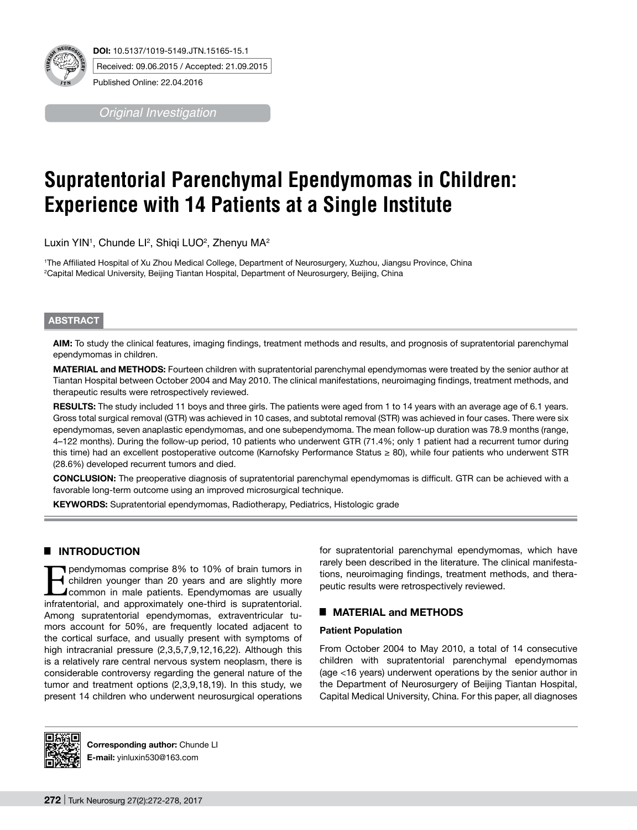

*Original Investigation*

# **Supratentorial Parenchymal Ependymomas in Children: Experience with 14 Patients at a Single Institute**

Luxin YIN<sup>ı</sup>, Chunde Ll<sup>2</sup>, Shiqi LUO<sup>2</sup>, Zhenyu MA<sup>2</sup>

1 The Affiliated Hospital of Xu Zhou Medical College, Department of Neurosurgery, Xuzhou, Jiangsu Province, China 2 Capital Medical University, Beijing Tiantan Hospital, Department of Neurosurgery, Beijing, China

# **ABSTRACT**

**AIm:** To study the clinical features, imaging findings, treatment methods and results, and prognosis of supratentorial parenchymal ependymomas in children.

**MaterIal and Methods:** Fourteen children with supratentorial parenchymal ependymomas were treated by the senior author at Tiantan Hospital between October 2004 and May 2010. The clinical manifestations, neuroimaging findings, treatment methods, and therapeutic results were retrospectively reviewed.

**RESULTS:** The study included 11 boys and three girls. The patients were aged from 1 to 14 years with an average age of 6.1 years. Gross total surgical removal (GTR) was achieved in 10 cases, and subtotal removal (STR) was achieved in four cases. There were six ependymomas, seven anaplastic ependymomas, and one subependymoma. The mean follow-up duration was 78.9 months (range, 4–122 months). During the follow-up period, 10 patients who underwent GTR (71.4%; only 1 patient had a recurrent tumor during this time) had an excellent postoperative outcome (Karnofsky Performance Status ≥ 80), while four patients who underwent STR (28.6%) developed recurrent tumors and died.

**ConclusIon:** The preoperative diagnosis of supratentorial parenchymal ependymomas is difficult. GTR can be achieved with a favorable long-term outcome using an improved microsurgical technique.

**Keywords:** Supratentorial ependymomas, Radiotherapy, Pediatrics, Histologic grade

# █ **INTRODUCTION**

**Exercise** 10% to 10% of brain tumors in<br>
children younger than 20 years and are slightly more<br>
common in male patients. Ependymomas are usually<br>
infratantorial and approximately one-third is suppretentorial children younger than 20 years and are slightly more common in male patients. Ependymomas are usually infratentorial, and approximately one-third is supratentorial. Among supratentorial ependymomas, extraventricular tumors account for 50%, are frequently located adjacent to the cortical surface, and usually present with symptoms of high intracranial pressure (2,3,5,7,9,12,16,22). Although this is a relatively rare central nervous system neoplasm, there is considerable controversy regarding the general nature of the tumor and treatment options (2,3,9,18,19). In this study, we present 14 children who underwent neurosurgical operations

for supratentorial parenchymal ependymomas, which have rarely been described in the literature. The clinical manifestations, neuroimaging findings, treatment methods, and therapeutic results were retrospectively reviewed.

# █ **MATERIAL and METHODS**

#### **Patient Population**

From October 2004 to May 2010, a total of 14 consecutive children with supratentorial parenchymal ependymomas (age <16 years) underwent operations by the senior author in the Department of Neurosurgery of Beijing Tiantan Hospital, Capital Medical University, China. For this paper, all diagnoses



**Corresponding author:** Chunde LI **E-mail:** yinluxin530@163.com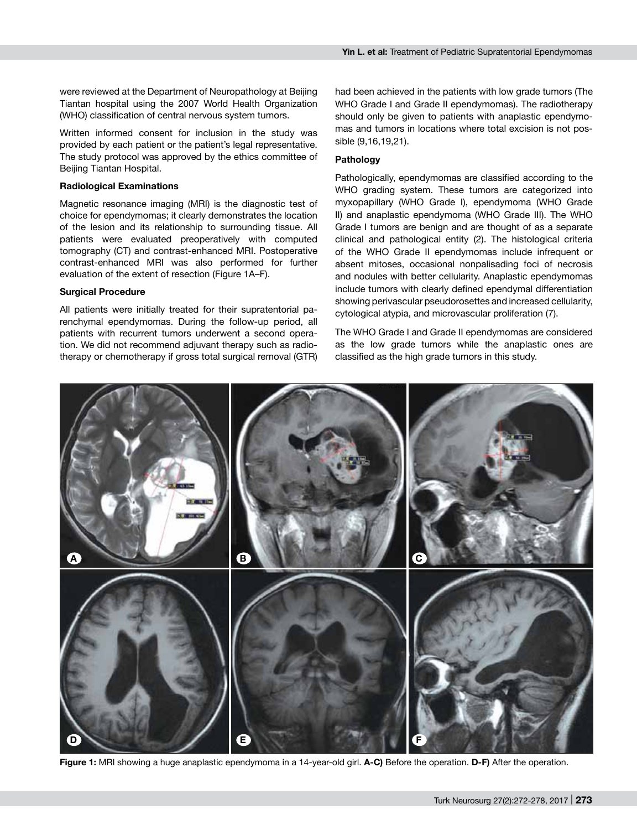were reviewed at the Department of Neuropathology at Beijing Tiantan hospital using the 2007 World Health Organization (WHO) classification of central nervous system tumors.

Written informed consent for inclusion in the study was provided by each patient or the patient's legal representative. The study protocol was approved by the ethics committee of Beijing Tiantan Hospital.

#### **Radiological Examinations**

Magnetic resonance imaging (MRI) is the diagnostic test of choice for ependymomas; it clearly demonstrates the location of the lesion and its relationship to surrounding tissue. All patients were evaluated preoperatively with computed tomography (CT) and contrast-enhanced MRI. Postoperative contrast-enhanced MRI was also performed for further evaluation of the extent of resection (Figure 1a–f).

#### **Surgical Procedure**

All patients were initially treated for their supratentorial parenchymal ependymomas. During the follow-up period, all patients with recurrent tumors underwent a second operation. We did not recommend adjuvant therapy such as radiotherapy or chemotherapy if gross total surgical removal (GTR)

had been achieved in the patients with low grade tumors (The WHO Grade I and Grade II ependymomas). The radiotherapy should only be given to patients with anaplastic ependymomas and tumors in locations where total excision is not possible (9,16,19,21).

#### **Pathology**

Pathologically, ependymomas are classified according to the WHO grading system. These tumors are categorized into myxopapillary (WHO Grade I), ependymoma (WHO Grade II) and anaplastic ependymoma (WHO Grade III). The WHO Grade I tumors are benign and are thought of as a separate clinical and pathological entity (2). The histological criteria of the WHO Grade II ependymomas include infrequent or absent mitoses, occasional nonpalisading foci of necrosis and nodules with better cellularity. Anaplastic ependymomas include tumors with clearly defined ependymal differentiation showing perivascular pseudorosettes and increased cellularity, cytological atypia, and microvascular proliferation (7).

The WHO Grade I and Grade II ependymomas are considered as the low grade tumors while the anaplastic ones are classified as the high grade tumors in this study.



**Figure 1:** MRI showing a huge anaplastic ependymoma in a 14-year-old girl. **a-c)** Before the operation. **d-f)** After the operation.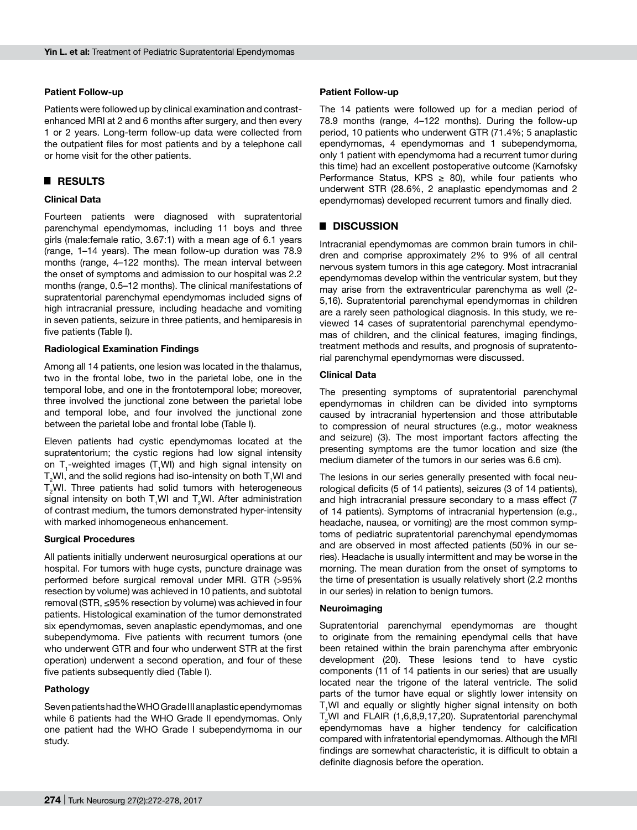## **Patient Follow-up**

Patients were followed up by clinical examination and contrastenhanced MRI at 2 and 6 months after surgery, and then every 1 or 2 years. Long-term follow-up data were collected from the outpatient files for most patients and by a telephone call or home visit for the other patients.

# █ **RESULTS**

# **Clinical Data**

Fourteen patients were diagnosed with supratentorial parenchymal ependymomas, including 11 boys and three girls (male:female ratio, 3.67:1) with a mean age of 6.1 years (range, 1–14 years). The mean follow-up duration was 78.9 months (range, 4–122 months). The mean interval between the onset of symptoms and admission to our hospital was 2.2 months (range, 0.5–12 months). The clinical manifestations of supratentorial parenchymal ependymomas included signs of high intracranial pressure, including headache and vomiting in seven patients, seizure in three patients, and hemiparesis in five patients (Table I).

## **Radiological Examination Findings**

Among all 14 patients, one lesion was located in the thalamus, two in the frontal lobe, two in the parietal lobe, one in the temporal lobe, and one in the frontotemporal lobe; moreover, three involved the junctional zone between the parietal lobe and temporal lobe, and four involved the junctional zone between the parietal lobe and frontal lobe (Table I).

Eleven patients had cystic ependymomas located at the supratentorium; the cystic regions had low signal intensity on T<sub>1</sub>-weighted images (T<sub>1</sub>WI) and high signal intensity on  ${\sf T_2}$ WI, and the solid regions had iso-intensity on both  ${\sf T_1}$ WI and  $T_2$ WI. Three patients had solid tumors with heterogeneous signal intensity on both  $T_1$ WI and  $T_2$ WI. After administration of contrast medium, the tumors demonstrated hyper-intensity with marked inhomogeneous enhancement.

#### **Surgical Procedures**

All patients initially underwent neurosurgical operations at our hospital. For tumors with huge cysts, puncture drainage was performed before surgical removal under MRI. GTR (>95% resection by volume) was achieved in 10 patients, and subtotal removal (STR, ≤95% resection by volume) was achieved in four patients. Histological examination of the tumor demonstrated six ependymomas, seven anaplastic ependymomas, and one subependymoma. Five patients with recurrent tumors (one who underwent GTR and four who underwent STR at the first operation) underwent a second operation, and four of these five patients subsequently died (Table I).

#### **Pathology**

Seven patients had the WHO Grade III anaplastic ependymomas while 6 patients had the WHO Grade II ependymomas. Only one patient had the WHO Grade I subependymoma in our study.

#### **Patient Follow-up**

The 14 patients were followed up for a median period of 78.9 months (range, 4–122 months). During the follow-up period, 10 patients who underwent GTR (71.4%; 5 anaplastic ependymomas, 4 ependymomas and 1 subependymoma, only 1 patient with ependymoma had a recurrent tumor during this time) had an excellent postoperative outcome (Karnofsky Performance Status, KPS  $\geq$  80), while four patients who underwent STR (28.6%, 2 anaplastic ependymomas and 2 ependymomas) developed recurrent tumors and finally died.

# █ **DISCUSSION**

Intracranial ependymomas are common brain tumors in children and comprise approximately 2% to 9% of all central nervous system tumors in this age category. Most intracranial ependymomas develop within the ventricular system, but they may arise from the extraventricular parenchyma as well (2- 5,16). Supratentorial parenchymal ependymomas in children are a rarely seen pathological diagnosis. In this study, we reviewed 14 cases of supratentorial parenchymal ependymomas of children, and the clinical features, imaging findings, treatment methods and results, and prognosis of supratentorial parenchymal ependymomas were discussed.

#### **Clinical Data**

The presenting symptoms of supratentorial parenchymal ependymomas in children can be divided into symptoms caused by intracranial hypertension and those attributable to compression of neural structures (e.g., motor weakness and seizure) (3). The most important factors affecting the presenting symptoms are the tumor location and size (the medium diameter of the tumors in our series was 6.6 cm).

The lesions in our series generally presented with focal neurological deficits (5 of 14 patients), seizures (3 of 14 patients), and high intracranial pressure secondary to a mass effect (7 of 14 patients). Symptoms of intracranial hypertension (e.g., headache, nausea, or vomiting) are the most common symptoms of pediatric supratentorial parenchymal ependymomas and are observed in most affected patients (50% in our series). Headache is usually intermittent and may be worse in the morning. The mean duration from the onset of symptoms to the time of presentation is usually relatively short (2.2 months in our series) in relation to benign tumors.

#### **Neuroimaging**

Supratentorial parenchymal ependymomas are thought to originate from the remaining ependymal cells that have been retained within the brain parenchyma after embryonic development (20). These lesions tend to have cystic components (11 of 14 patients in our series) that are usually located near the trigone of the lateral ventricle. The solid parts of the tumor have equal or slightly lower intensity on  $T<sub>1</sub>$ WI and equally or slightly higher signal intensity on both  $T_2$ WI and FLAIR (1,6,8,9,17,20). Supratentorial parenchymal ependymomas have a higher tendency for calcification compared with infratentorial ependymomas. Although the MRI findings are somewhat characteristic, it is difficult to obtain a definite diagnosis before the operation.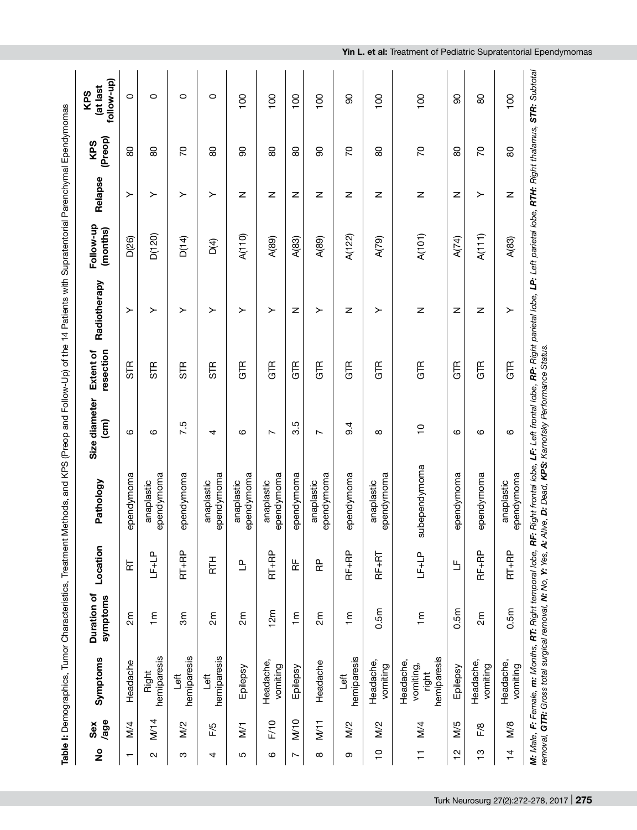|                          |               |                                                | Table I: Demographics, Tumor Characteristics, Treatment |                                             |                                                                                                                                                                                                                                                                 | Methods, and KPS (Preop and Follow-Up) of the 14 Patients with Supratentorial Parenchymal Ependymomas |                        |              |                       |         |                |                              |
|--------------------------|---------------|------------------------------------------------|---------------------------------------------------------|---------------------------------------------|-----------------------------------------------------------------------------------------------------------------------------------------------------------------------------------------------------------------------------------------------------------------|-------------------------------------------------------------------------------------------------------|------------------------|--------------|-----------------------|---------|----------------|------------------------------|
| $\frac{1}{2}$            | /age<br>Sex   | Symptoms                                       | Duration of<br>symptoms                                 | Location                                    | Pathology                                                                                                                                                                                                                                                       | Size diameter<br>(cm                                                                                  | resection<br>Extent of | Radiotherapy | Follow-up<br>(months) | Relapse | (Preop)<br>KPS | follow-up)<br>at last<br>KPS |
| $\overline{\phantom{0}}$ | M/4           | Headache                                       | 2m                                                      | 눈                                           | ependymoma                                                                                                                                                                                                                                                      | ဖ                                                                                                     | STR                    | ≻            | D <sub>(26)</sub>     | ≻       | 80             | $\circ$                      |
| $\sim$                   | M/14          | hemiparesis<br>Right                           | $\overline{m}$                                          | $\begin{array}{c} \text{LF+LP} \end{array}$ | ependymoma<br>anaplastic                                                                                                                                                                                                                                        | ဖ                                                                                                     | STR                    | ≻            | D(120)                | ≻       | 80             | $\circ$                      |
| ω                        | $\frac{2}{2}$ | hemiparesis<br><b>Fol</b>                      | 3 <sub>m</sub>                                          | $RT + RP$                                   | ependymoma                                                                                                                                                                                                                                                      | 7.5                                                                                                   | STR                    | ≻            | D(14)                 | ≻       | 20             | O                            |
| 4                        | F/5           | hemiparesis<br><b>fi</b>                       | 2m                                                      | <b>HL</b>                                   | ependymoma<br>anaplastic                                                                                                                                                                                                                                        | 4                                                                                                     | STR                    | ≻            | D <sub>(4)</sub>      | ≻       | 80             | $\circ$                      |
| 5                        | $\sum$        | Epilepsy                                       | 2m                                                      | $\mathbf{r}$                                | ependymoma<br>anaplastic                                                                                                                                                                                                                                        | ဖ                                                                                                     | GTR                    | ≻            | A(110)                | z       | 90             | $\overline{100}$             |
| ဖ                        | F/10          | Headache,<br>vomiting                          | 12m                                                     | $RT + RP$                                   | ependymoma<br>anaplastic                                                                                                                                                                                                                                        | $\overline{ }$                                                                                        | GTR                    | ≻            | A(89)                 | Z       | 80             | $\overline{100}$             |
| $\overline{ }$           | M/10          | Epilepsy                                       | $\overline{m}$                                          | 눈                                           | ependymoma                                                                                                                                                                                                                                                      | 3.5                                                                                                   | GTR                    | Z            | A(83)                 | Z       | 80             | 100                          |
| ${}^{\circ}$             | M/11          | Headache                                       | 2m                                                      | 운                                           | ependymoma<br>anaplastic                                                                                                                                                                                                                                        | $\sim$                                                                                                | GTR                    | ≻            | A(89)                 | Z       | 90             | 100                          |
| ω                        | M/2           | hemiparesis<br>Left                            | $\overline{m}$                                          | RF+RP                                       | ependymoma                                                                                                                                                                                                                                                      | 9.4                                                                                                   | GTR                    | z            | A(122)                | Z       | 20             | 8                            |
| $\overline{C}$           | M/2           | Headache,<br>vomiting                          | 0.5m                                                    | $RF+RT$                                     | ependymoma<br>anaplastic                                                                                                                                                                                                                                        | $\infty$                                                                                              | GTR                    | ≻            | A(79)                 | z       | 80             | $\overline{100}$             |
| Ξ                        | M/4           | hemiparesis<br>Headache,<br>vomiting,<br>right | $\overline{m}$                                          | $LF+LP$                                     | subependymoma                                                                                                                                                                                                                                                   | $\frac{1}{2}$                                                                                         | GTR                    | z            | A(101)                | z       | 20             | 100                          |
| $\frac{1}{2}$            | M/5           | Epilepsy                                       | 0.5m                                                    | $\mathbf{u}_1$                              | ependymoma                                                                                                                                                                                                                                                      | $\circ$                                                                                               | GTR                    | z            | A(74)                 | z       | 80             | 8                            |
| $\frac{1}{2}$            | F/8           | Headache,<br>vomiting                          | 2m                                                      | RF+RP                                       | ependymoma                                                                                                                                                                                                                                                      | ဖ                                                                                                     | GTR                    | Z            | A(111)                | ≻       | 20             | 80                           |
| $\frac{4}{1}$            | M/8           | Headache,<br>vomiting                          | 0.5m                                                    | $RT + RP$                                   | ependymoma<br>anaplastic                                                                                                                                                                                                                                        | $\circ$                                                                                               | GTR                    | ≻            | A(83)                 | Z       | 80             | $\overline{100}$             |
|                          |               |                                                |                                                         |                                             | M: Male, F: Female, <b>m:</b> Months, <b>RT:</b> Right temporal lobe, RF: Right frontal lobe, LF: Left frontal lobe, <b>RP:</b> Right parietal lobe, LP: Left parietal lobe, <b>RTH:</b> Right thalamus, <b>STR:</b> Subtdal<br>removal. <b>GTR:</b> Gross tota |                                                                                                       |                        |              |                       |         |                |                              |

**Yin L. et al:** Treatment of Pediatric Supratentorial Ependymomas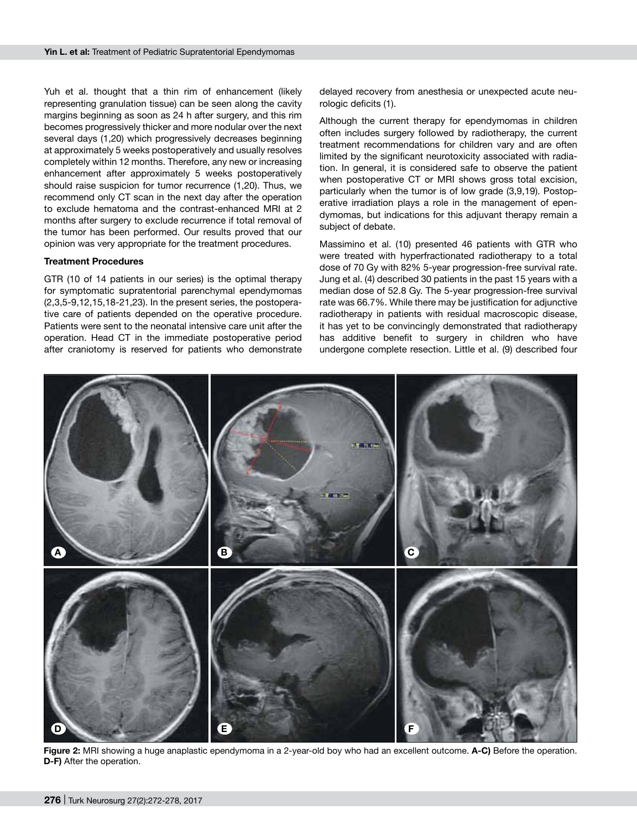Yuh et al. thought that a thin rim of enhancement (likely representing granulation tissue) can be seen along the cavity margins beginning as soon as 24 h after surgery, and this rim becomes progressively thicker and more nodular over the next several days (1,20) which progressively decreases beginning at approximately 5 weeks postoperatively and usually resolves completely within 12 months. Therefore, any new or increasing enhancement after approximately 5 weeks postoperatively should raise suspicion for tumor recurrence (1,20). Thus, we recommend only CT scan in the next day after the operation to exclude hematoma and the contrast-enhanced MRI at 2 months after surgery to exclude recurrence if total removal of the tumor has been performed. Our results proved that our opinion was very appropriate for the treatment procedures.

#### **Treatment Procedures**

GTR (10 of 14 patients in our series) is the optimal therapy for symptomatic supratentorial parenchymal ependymomas (2,3,5-9,12,15,18-21,23). In the present series, the postoperative care of patients depended on the operative procedure. Patients were sent to the neonatal intensive care unit after the operation. Head CT in the immediate postoperative period after craniotomy is reserved for patients who demonstrate

delayed recovery from anesthesia or unexpected acute neurologic deficits (1).

Although the current therapy for ependymomas in children often includes surgery followed by radiotherapy, the current treatment recommendations for children vary and are often limited by the significant neurotoxicity associated with radiation. In general, it is considered safe to observe the patient when postoperative CT or MRI shows gross total excision. particularly when the tumor is of low grade (3,9,19). Postoperative irradiation plays a role in the management of ependymomas, but indications for this adjuvant therapy remain a subject of debate.

Massimino et al. (10) presented 46 patients with GTR who were treated with hyperfractionated radiotherapy to a total dose of 70 Gy with 82% 5-year progression-free survival rate. Jung et al. (4) described 30 patients in the past 15 years with a median dose of 52.8 Gy. The 5-year progression-free survival rate was 66.7%. While there may be justification for adjunctive radiotherapy in patients with residual macroscopic disease, it has yet to be convincingly demonstrated that radiotherapy has additive benefit to surgery in children who have undergone complete resection. Little et al. (9) described four



**Figure 2:** MRI showing a huge anaplastic ependymoma in a 2-year-old boy who had an excellent outcome. **a-c)** Before the operation. **D-F)** After the operation.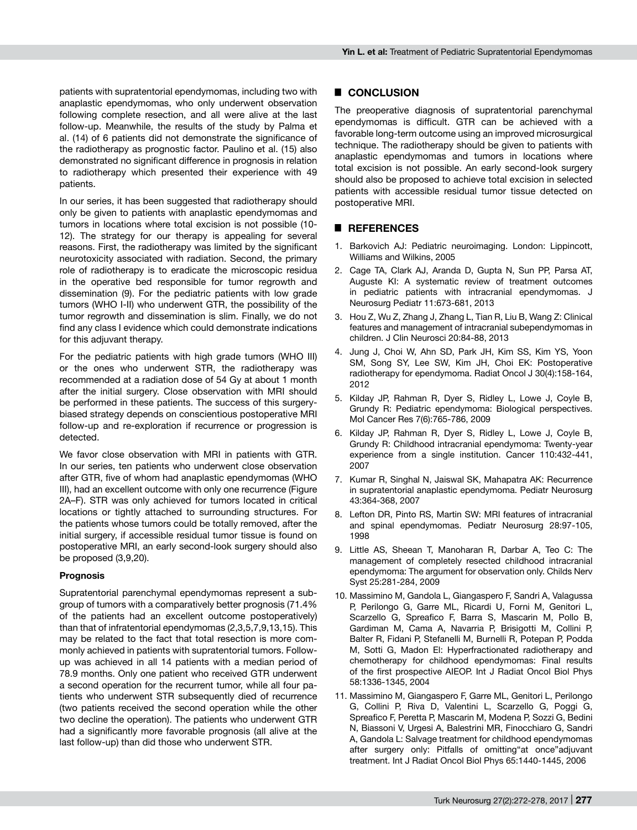patients with supratentorial ependymomas, including two with anaplastic ependymomas, who only underwent observation following complete resection, and all were alive at the last follow-up. Meanwhile, the results of the study by Palma et al. (14) of 6 patients did not demonstrate the significance of the radiotherapy as prognostic factor. Paulino et al. (15) also demonstrated no significant difference in prognosis in relation to radiotherapy which presented their experience with 49 patients.

In our series, it has been suggested that radiotherapy should only be given to patients with anaplastic ependymomas and tumors in locations where total excision is not possible (10- 12). The strategy for our therapy is appealing for several reasons. First, the radiotherapy was limited by the significant neurotoxicity associated with radiation. Second, the primary role of radiotherapy is to eradicate the microscopic residua in the operative bed responsible for tumor regrowth and dissemination (9). For the pediatric patients with low grade tumors (WHO I-II) who underwent GTR, the possibility of the tumor regrowth and dissemination is slim. Finally, we do not find any class I evidence which could demonstrate indications for this adjuvant therapy.

For the pediatric patients with high grade tumors (WHO III) or the ones who underwent STR, the radiotherapy was recommended at a radiation dose of 54 Gy at about 1 month after the initial surgery. Close observation with MRI should be performed in these patients. The success of this surgerybiased strategy depends on conscientious postoperative MRI follow-up and re-exploration if recurrence or progression is detected.

We favor close observation with MRI in patients with GTR. In our series, ten patients who underwent close observation after GTR, five of whom had anaplastic ependymomas (WHO III), had an excellent outcome with only one recurrence (Figure 2a–f). STR was only achieved for tumors located in critical locations or tightly attached to surrounding structures. For the patients whose tumors could be totally removed, after the initial surgery, if accessible residual tumor tissue is found on postoperative MRI, an early second-look surgery should also be proposed (3,9,20).

# **Prognosis**

Supratentorial parenchymal ependymomas represent a subgroup of tumors with a comparatively better prognosis (71.4% of the patients had an excellent outcome postoperatively) than that of infratentorial ependymomas (2,3,5,7,9,13,15). This may be related to the fact that total resection is more commonly achieved in patients with supratentorial tumors. Followup was achieved in all 14 patients with a median period of 78.9 months. Only one patient who received GTR underwent a second operation for the recurrent tumor, while all four patients who underwent STR subsequently died of recurrence (two patients received the second operation while the other two decline the operation). The patients who underwent GTR had a significantly more favorable prognosis (all alive at the last follow-up) than did those who underwent STR.

# █ **CONCLUSION**

The preoperative diagnosis of supratentorial parenchymal ependymomas is difficult. GTR can be achieved with a favorable long-term outcome using an improved microsurgical technique. The radiotherapy should be given to patients with anaplastic ependymomas and tumors in locations where total excision is not possible. An early second-look surgery should also be proposed to achieve total excision in selected patients with accessible residual tumor tissue detected on postoperative MRI.

## █ **REFERENCES**

- Barkovich AJ: Pediatric neuroimaging. London: Lippincott, Williams and Wilkins, 2005
- 2. Cage TA, Clark AJ, Aranda D, Gupta N, Sun PP, Parsa AT, Auguste KI: A systematic review of treatment outcomes in pediatric patients with intracranial ependymomas. J Neurosurg Pediatr 11:673-681, 2013
- 3. Hou Z, Wu Z, Zhang J, Zhang L, Tian R, Liu B, Wang Z: Clinical features and management of intracranial subependymomas in children. J Clin Neurosci 20:84-88, 2013
- 4. Jung J, Choi W, Ahn SD, Park JH, Kim SS, Kim YS, Yoon SM, Song SY, Lee SW, Kim JH, Choi EK: Postoperative radiotherapy for ependymoma. Radiat Oncol J 30(4):158-164, 2012
- 5. Kilday JP, Rahman R, Dyer S, Ridley L, Lowe J, Coyle B, Grundy R: Pediatric ependymoma: Biological perspectives. Mol Cancer Res 7(6):765-786, 2009
- 6. Kilday JP, Rahman R, Dyer S, Ridley L, Lowe J, Coyle B, Grundy R: Childhood intracranial ependymoma: Twenty-year experience from a single institution. Cancer 110:432-441, 2007
- 7. Kumar R, Singhal N, Jaiswal SK, Mahapatra AK: Recurrence in supratentorial anaplastic ependymoma. Pediatr Neurosurg 43:364-368, 2007
- 8. Lefton DR, Pinto RS, Martin SW: MRI features of intracranial and spinal ependymomas. Pediatr Neurosurg 28:97-105, 1998
- 9. Little AS, Sheean T, Manoharan R, Darbar A, Teo C: The management of completely resected childhood intracranial ependymoma: The argument for observation only. Childs Nerv Syst 25:281-284, 2009
- 10. Massimino M, Gandola L, Giangaspero F, Sandri A, Valagussa P, Perilongo G, Garre ML, Ricardi U, Forni M, Genitori L, Scarzello G, Spreafico F, Barra S, Mascarin M, Pollo B, Gardiman M, Cama A, Navarria P, Brisigotti M, Collini P, Balter R, Fidani P, Stefanelli M, Burnelli R, Potepan P, Podda M, Sotti G, Madon El: Hyperfractionated radiotherapy and chemotherapy for childhood ependymomas: Final results of the first prospective AIEOP. Int J Radiat Oncol Biol Phys 58:1336-1345, 2004
- 11. Massimino M, Giangaspero F, Garre ML, Genitori L, Perilongo G, Collini P, Riva D, Valentini L, Scarzello G, Poggi G, Spreafico F, Peretta P, Mascarin M, Modena P, Sozzi G, Bedini N, Biassoni V, Urgesi A, Balestrini MR, Finocchiaro G, Sandri A, Gandola L: Salvage treatment for childhood ependymomas after surgery only: Pitfalls of omitting"at once"adjuvant treatment. Int J Radiat Oncol Biol Phys 65:1440-1445, 2006